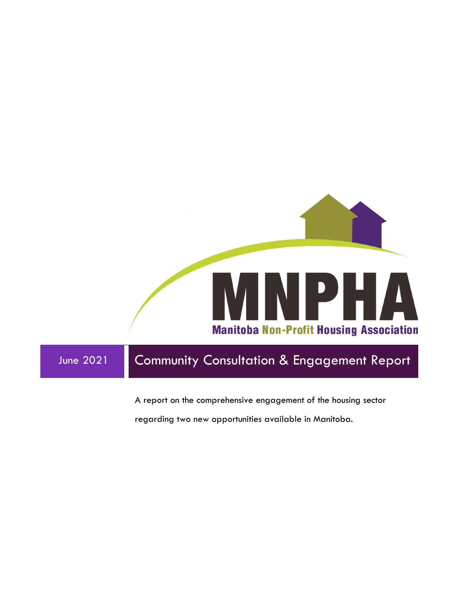

A report on the comprehensive engagement of the housing sector

regarding two new opportunities available in Manitoba.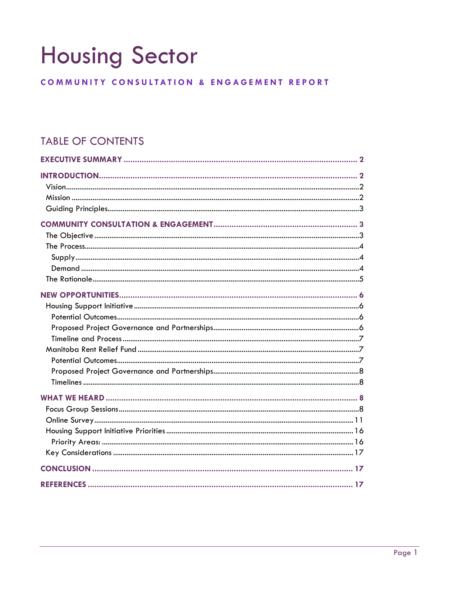# **Housing Sector**

# COMMUNITY CONSULTATION & ENGAGEMENT REPORT

# **TABLE OF CONTENTS**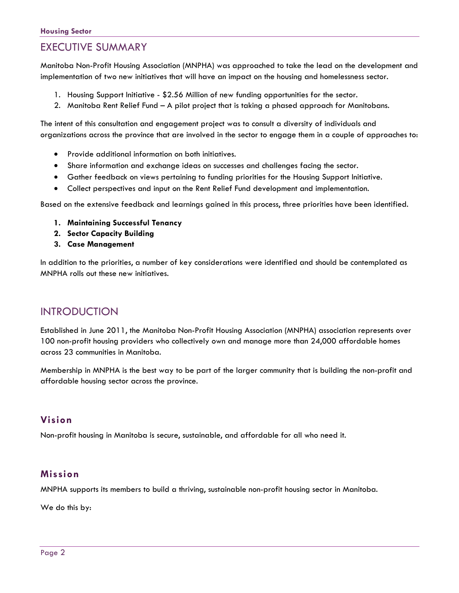# <span id="page-2-0"></span>EXECUTIVE SUMMARY

Manitoba Non-Profit Housing Association (MNPHA) was approached to take the lead on the development and implementation of two new initiatives that will have an impact on the housing and homelessness sector.

- 1. Housing Support Initiative \$2.56 Million of new funding opportunities for the sector.
- 2. Manitoba Rent Relief Fund A pilot project that is taking a phased approach for Manitobans.

The intent of this consultation and engagement project was to consult a diversity of individuals and organizations across the province that are involved in the sector to engage them in a couple of approaches to:

- Provide additional information on both initiatives.
- Share information and exchange ideas on successes and challenges facing the sector.
- Gather feedback on views pertaining to funding priorities for the Housing Support Initiative.
- Collect perspectives and input on the Rent Relief Fund development and implementation.

Based on the extensive feedback and learnings gained in this process, three priorities have been identified.

- **1. Maintaining Successful Tenancy**
- **2. Sector Capacity Building**
- **3. Case Management**

In addition to the priorities, a number of key considerations were identified and should be contemplated as MNPHA rolls out these new initiatives.

# <span id="page-2-1"></span>INTRODUCTION

Established in June 2011, the Manitoba Non-Profit Housing Association (MNPHA) association represents over 100 non-profit housing providers who collectively own and manage more than 24,000 affordable homes across 23 communities in Manitoba.

Membership in MNPHA is the best way to be part of the larger community that is building the non-profit and affordable housing sector across the province.

## <span id="page-2-2"></span>**Vision**

Non-profit housing in Manitoba is secure, sustainable, and affordable for all who need it.

## <span id="page-2-3"></span>**Mission**

MNPHA supports its members to build a thriving, sustainable non-profit housing sector in Manitoba.

We do this by: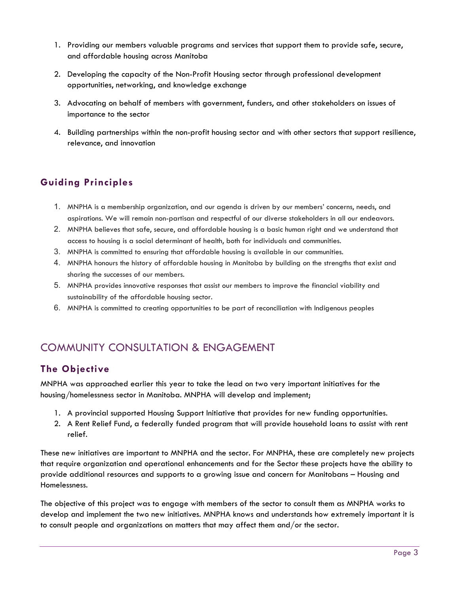- 1. Providing our members valuable programs and services that support them to provide safe, secure, and affordable housing across Manitoba
- 2. Developing the capacity of the Non-Profit Housing sector through professional development opportunities, networking, and knowledge exchange
- 3. Advocating on behalf of members with government, funders, and other stakeholders on issues of importance to the sector
- 4. Building partnerships within the non-profit housing sector and with other sectors that support resilience, relevance, and innovation

# <span id="page-3-0"></span>**Guiding Principles**

- 1. MNPHA is a membership organization, and our agenda is driven by our members' concerns, needs, and aspirations. We will remain non-partisan and respectful of our diverse stakeholders in all our endeavors.
- 2. MNPHA believes that safe, secure, and affordable housing is a basic human right and we understand that access to housing is a social determinant of health, both for individuals and communities.
- 3. MNPHA is committed to ensuring that affordable housing is available in our communities.
- 4. MNPHA honours the history of affordable housing in Manitoba by building on the strengths that exist and sharing the successes of our members.
- 5. MNPHA provides innovative responses that assist our members to improve the financial viability and sustainability of the affordable housing sector.
- 6. MNPHA is committed to creating opportunities to be part of reconciliation with Indigenous peoples

# <span id="page-3-1"></span>COMMUNITY CONSULTATION & ENGAGEMENT

# <span id="page-3-2"></span>**The Objective**

MNPHA was approached earlier this year to take the lead on two very important initiatives for the housing/homelessness sector in Manitoba. MNPHA will develop and implement;

- 1. A provincial supported Housing Support Initiative that provides for new funding opportunities.
- 2. A Rent Relief Fund, a federally funded program that will provide household loans to assist with rent relief.

These new initiatives are important to MNPHA and the sector. For MNPHA, these are completely new projects that require organization and operational enhancements and for the Sector these projects have the ability to provide additional resources and supports to a growing issue and concern for Manitobans – Housing and Homelessness.

The objective of this project was to engage with members of the sector to consult them as MNPHA works to develop and implement the two new initiatives. MNPHA knows and understands how extremely important it is to consult people and organizations on matters that may affect them and/or the sector.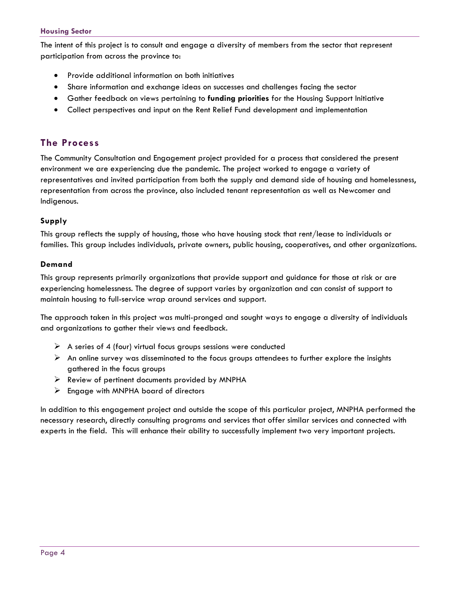#### **Housing Sector**

The intent of this project is to consult and engage a diversity of members from the sector that represent participation from across the province to:

- Provide additional information on both initiatives
- Share information and exchange ideas on successes and challenges facing the sector
- Gather feedback on views pertaining to **funding priorities** for the Housing Support Initiative
- Collect perspectives and input on the Rent Relief Fund development and implementation

### <span id="page-4-0"></span>**The Process**

The Community Consultation and Engagement project provided for a process that considered the present environment we are experiencing due the pandemic. The project worked to engage a variety of representatives and invited participation from both the supply and demand side of housing and homelessness, representation from across the province, also included tenant representation as well as Newcomer and Indigenous.

#### <span id="page-4-1"></span>**Supply**

This group reflects the supply of housing, those who have housing stock that rent/lease to individuals or families. This group includes individuals, private owners, public housing, cooperatives, and other organizations.

#### <span id="page-4-2"></span>**Demand**

This group represents primarily organizations that provide support and guidance for those at risk or are experiencing homelessness. The degree of support varies by organization and can consist of support to maintain housing to full-service wrap around services and support.

The approach taken in this project was multi-pronged and sought ways to engage a diversity of individuals and organizations to gather their views and feedback.

- $\triangleright$  A series of 4 (four) virtual focus groups sessions were conducted
- $\triangleright$  An online survey was disseminated to the focus groups attendees to further explore the insights gathered in the focus groups
- $\triangleright$  Review of pertinent documents provided by MNPHA
- $\triangleright$  Engage with MNPHA board of directors

In addition to this engagement project and outside the scope of this particular project, MNPHA performed the necessary research, directly consulting programs and services that offer similar services and connected with experts in the field. This will enhance their ability to successfully implement two very important projects.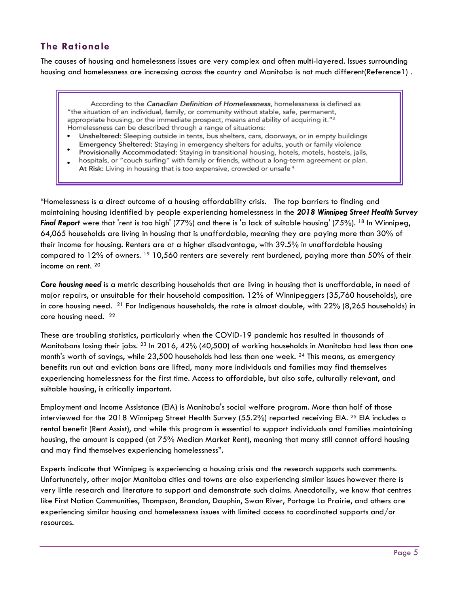# <span id="page-5-0"></span>**The Rationale**

The causes of housing and homelessness issues are very complex and often multi-layered. Issues surrounding housing and homelessness are increasing across the country and Manitoba is not much different(Reference1) .

According to the Canadian Definition of Homelessness, homelessness is defined as "the situation of an individual, family, or community without stable, safe, permanent, appropriate housing, or the immediate prospect, means and ability of acquiring it."3 Homelessness can be described through a range of situations:

- Unsheltered: Sleeping outside in tents, bus shelters, cars, doorways, or in empty buildings Emergency Sheltered: Staying in emergency shelters for adults, youth or family violence
- Provisionally Accommodated: Staying in transitional housing, hotels, motels, hostels, jails, hospitals, or "couch surfing" with family or friends, without a long-term agreement or plan. At Risk: Living in housing that is too expensive, crowded or unsafe<sup>4</sup>

"Homelessness is a direct outcome of a housing affordability crisis. The top barriers to finding and maintaining housing identified by people experiencing homelessness in the *2018 Winnipeg Street Health Survey Final Report* were that 'rent is too high' (77%) and there is 'a lack of suitable housing' (75%). <sup>18</sup> In Winnipeg, 64,065 households are living in housing that is unaffordable, meaning they are paying more than 30% of their income for housing. Renters are at a higher disadvantage, with 39.5% in unaffordable housing compared to 12% of owners. <sup>19</sup> 10,560 renters are severely rent burdened, paying more than 50% of their income on rent. <sup>20</sup>

*Core housing need* is a metric describing households that are living in housing that is unaffordable, in need of major repairs, or unsuitable for their household composition. 12% of Winnipeggers (35,760 households), are in core housing need.  $^{21}$  For Indigenous households, the rate is almost double, with  $22\%$  (8,265 households) in core housing need. 22

These are troubling statistics, particularly when the COVID-19 pandemic has resulted in thousands of Manitobans losing their jobs. 23 In 2016, 42% (40,500) of working households in Manitoba had less than one month's worth of savings, while  $23,500$  households had less than one week.  $^{24}$  This means, as emergency benefits run out and eviction bans are lifted, many more individuals and families may find themselves experiencing homelessness for the first time. Access to affordable, but also safe, culturally relevant, and suitable housing, is critically important.

Employment and Income Assistance (EIA) is Manitoba's social welfare program. More than half of those interviewed for the 2018 Winnipeg Street Health Survey (55.2%) reported receiving EIA.  $^{25}$  EIA includes a rental benefit (Rent Assist), and while this program is essential to support individuals and families maintaining housing, the amount is capped (at 75% Median Market Rent), meaning that many still cannot afford housing and may find themselves experiencing homelessness".

Experts indicate that Winnipeg is experiencing a housing crisis and the research supports such comments. Unfortunately, other major Manitoba cities and towns are also experiencing similar issues however there is very little research and literature to support and demonstrate such claims. Anecdotally, we know that centres like First Nation Communities, Thompson, Brandon, Dauphin, Swan River, Portage La Prairie, and others are experiencing similar housing and homelessness issues with limited access to coordinated supports and/or resources.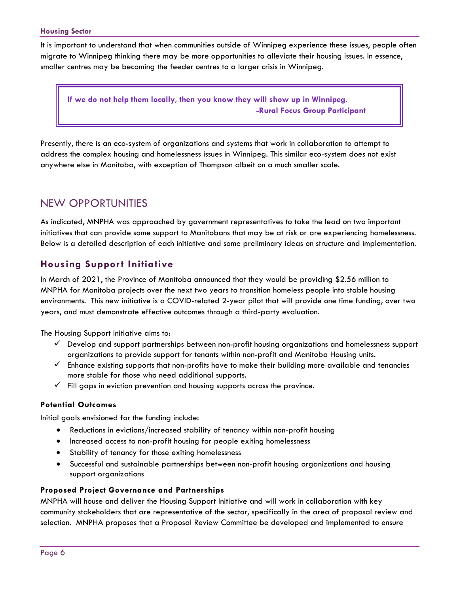#### **Housing Sector**

It is important to understand that when communities outside of Winnipeg experience these issues, people often migrate to Winnipeg thinking there may be more opportunities to alleviate their housing issues. In essence, smaller centres may be becoming the feeder centres to a larger crisis in Winnipeg.

**If we do not help them locally, then you know they will show up in Winnipeg. -Rural Focus Group Participant**

Presently, there is an eco-system of organizations and systems that work in collaboration to attempt to address the complex housing and homelessness issues in Winnipeg. This similar eco-system does not exist anywhere else in Manitoba, with exception of Thompson albeit on a much smaller scale.

# <span id="page-6-0"></span>NEW OPPORTUNITIES

As indicated, MNPHA was approached by government representatives to take the lead on two important initiatives that can provide some support to Manitobans that may be at risk or are experiencing homelessness. Below is a detailed description of each initiative and some preliminary ideas on structure and implementation.

### <span id="page-6-1"></span>**Housing Support Initiative**

In March of 2021, the Province of Manitoba announced that they would be providing \$2.56 million to MNPHA for Manitoba projects over the next two years to transition homeless people into stable housing environments. This new initiative is a COVID-related 2-year pilot that will provide one time funding, over two years, and must demonstrate effective outcomes through a third-party evaluation.

The Housing Support Initiative aims to:

- $\checkmark$  Develop and support partnerships between non-profit housing organizations and homelessness support organizations to provide support for tenants within non-profit and Manitoba Housing units.
- $\checkmark$  Enhance existing supports that non-profits have to make their building more available and tenancies more stable for those who need additional supports.
- $\checkmark$  Fill gaps in eviction prevention and housing supports across the province.

#### <span id="page-6-2"></span>**Potential Outcomes**

Initial goals envisioned for the funding include:

- Reductions in evictions/increased stability of tenancy within non-profit housing
- Increased access to non-profit housing for people exiting homelessness
- Stability of tenancy for those exiting homelessness
- Successful and sustainable partnerships between non-profit housing organizations and housing support organizations

#### <span id="page-6-3"></span>**Proposed Project Governance and Partnerships**

MNPHA will house and deliver the Housing Support Initiative and will work in collaboration with key community stakeholders that are representative of the sector, specifically in the area of proposal review and selection. MNPHA proposes that a Proposal Review Committee be developed and implemented to ensure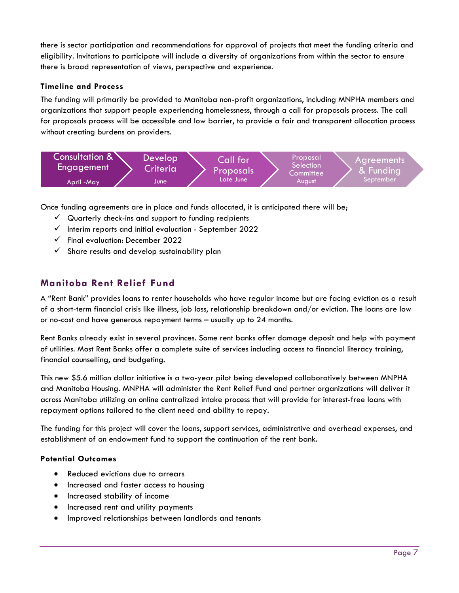there is sector participation and recommendations for approval of projects that meet the funding criteria and eligibility. Invitations to participate will include a diversity of organizations from within the sector to ensure there is broad representation of views, perspective and experience.

#### <span id="page-7-0"></span>**Timeline and Process**

The funding will primarily be provided to Manitoba non-profit organizations, including MNPHA members and organizations that support people experiencing homelessness, through a call for proposals process. The call for proposals process will be accessible and low barrier, to provide a fair and transparent allocation process without creating burdens on providers.



Once funding agreements are in place and funds allocated, it is anticipated there will be;

- $\checkmark$  Quarterly check-ins and support to funding recipients
- $\checkmark$  Interim reports and initial evaluation September 2022
- $\checkmark$  Final evaluation: December 2022
- $\checkmark$  Share results and develop sustainability plan

## <span id="page-7-1"></span>**Manitoba Rent Relief Fund**

A "Rent Bank" provides loans to renter households who have regular income but are facing eviction as a result of a short-term financial crisis like illness, job loss, relationship breakdown and/or eviction. The loans are low or no-cost and have generous repayment terms – usually up to 24 months.

Rent Banks already exist in several provinces. Some rent banks offer damage deposit and help with payment of utilities. Most Rent Banks offer a complete suite of services including access to financial literacy training, financial counselling, and budgeting.

This new \$5.6 million dollar initiative is a two-year pilot being developed collaboratively between MNPHA and Manitoba Housing. MNPHA will administer the Rent Relief Fund and partner organizations will deliver it across Manitoba utilizing an online centralized intake process that will provide for interest-free loans with repayment options tailored to the client need and ability to repay.

The funding for this project will cover the loans, support services, administrative and overhead expenses, and establishment of an endowment fund to support the continuation of the rent bank.

#### <span id="page-7-2"></span>**Potential Outcomes**

- Reduced evictions due to arrears
- Increased and faster access to housing
- Increased stability of income
- Increased rent and utility payments
- Improved relationships between landlords and tenants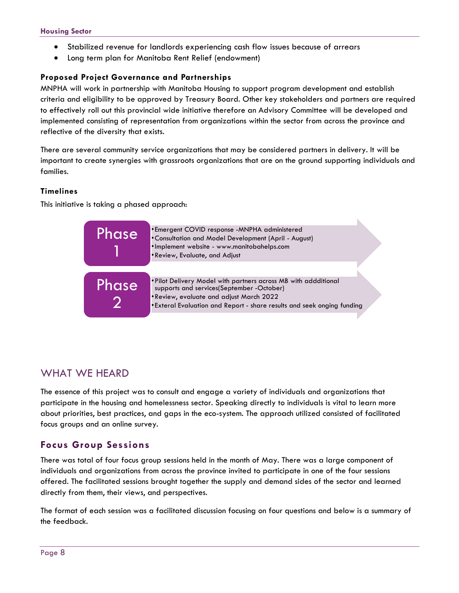- Stabilized revenue for landlords experiencing cash flow issues because of arrears
- Long term plan for Manitoba Rent Relief (endowment)

#### <span id="page-8-0"></span>**Proposed Project Governance and Partnerships**

MNPHA will work in partnership with Manitoba Housing to support program development and establish criteria and eligibility to be approved by Treasury Board. Other key stakeholders and partners are required to effectively roll out this provincial wide initiative therefore an Advisory Committee will be developed and implemented consisting of representation from organizations within the sector from across the province and reflective of the diversity that exists.

There are several community service organizations that may be considered partners in delivery. It will be important to create synergies with grassroots organizations that are on the ground supporting individuals and families.

#### <span id="page-8-1"></span>**Timelines**

This initiative is taking a phased approach:



# <span id="page-8-2"></span>WHAT WE HEARD

The essence of this project was to consult and engage a variety of individuals and organizations that participate in the housing and homelessness sector. Speaking directly to individuals is vital to learn more about priorities, best practices, and gaps in the eco-system. The approach utilized consisted of facilitated focus groups and an online survey.

## <span id="page-8-3"></span>**Focus Group Sessions**

There was total of four focus group sessions held in the month of May. There was a large component of individuals and organizations from across the province invited to participate in one of the four sessions offered. The facilitated sessions brought together the supply and demand sides of the sector and learned directly from them, their views, and perspectives.

The format of each session was a facilitated discussion focusing on four questions and below is a summary of the feedback.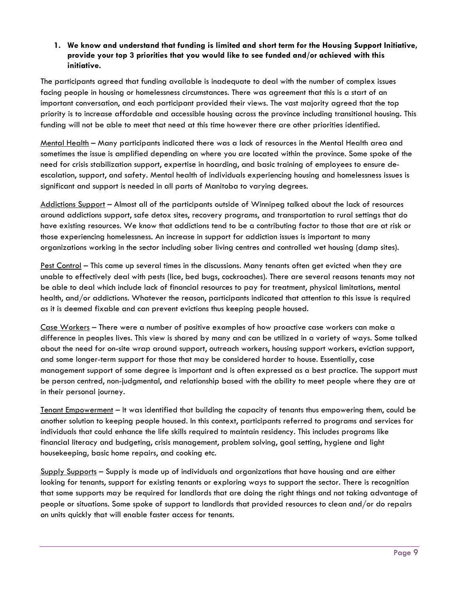#### **1. We know and understand that funding is limited and short term for the Housing Support Initiative, provide your top 3 priorities that you would like to see funded and/or achieved with this initiative.**

The participants agreed that funding available is inadequate to deal with the number of complex issues facing people in housing or homelessness circumstances. There was agreement that this is a start of an important conversation, and each participant provided their views. The vast majority agreed that the top priority is to increase affordable and accessible housing across the province including transitional housing. This funding will not be able to meet that need at this time however there are other priorities identified.

Mental Health – Many participants indicated there was a lack of resources in the Mental Health area and sometimes the issue is amplified depending on where you are located within the province. Some spoke of the need for crisis stabilization support, expertise in hoarding, and basic training of employees to ensure deescalation, support, and safety. Mental health of individuals experiencing housing and homelessness issues is significant and support is needed in all parts of Manitoba to varying degrees.

Addictions Support – Almost all of the participants outside of Winnipeg talked about the lack of resources around addictions support, safe detox sites, recovery programs, and transportation to rural settings that do have existing resources. We know that addictions tend to be a contributing factor to those that are at risk or those experiencing homelessness. An increase in support for addiction issues is important to many organizations working in the sector including sober living centres and controlled wet housing (damp sites).

Pest Control – This came up several times in the discussions. Many tenants often get evicted when they are unable to effectively deal with pests (lice, bed bugs, cockroaches). There are several reasons tenants may not be able to deal which include lack of financial resources to pay for treatment, physical limitations, mental health, and/or addictions. Whatever the reason, participants indicated that attention to this issue is required as it is deemed fixable and can prevent evictions thus keeping people housed.

Case Workers – There were a number of positive examples of how proactive case workers can make a difference in peoples lives. This view is shared by many and can be utilized in a variety of ways. Some talked about the need for on-site wrap around support, outreach workers, housing support workers, eviction support, and some longer-term support for those that may be considered harder to house. Essentially, case management support of some degree is important and is often expressed as a best practice. The support must be person centred, non-judgmental, and relationship based with the ability to meet people where they are at in their personal journey.

Tenant Empowerment – It was identified that building the capacity of tenants thus empowering them, could be another solution to keeping people housed. In this context, participants referred to programs and services for individuals that could enhance the life skills required to maintain residency. This includes programs like financial literacy and budgeting, crisis management, problem solving, goal setting, hygiene and light housekeeping, basic home repairs, and cooking etc.

Supply Supports – Supply is made up of individuals and organizations that have housing and are either looking for tenants, support for existing tenants or exploring ways to support the sector. There is recognition that some supports may be required for landlords that are doing the right things and not taking advantage of people or situations. Some spoke of support to landlords that provided resources to clean and/or do repairs on units quickly that will enable faster access for tenants.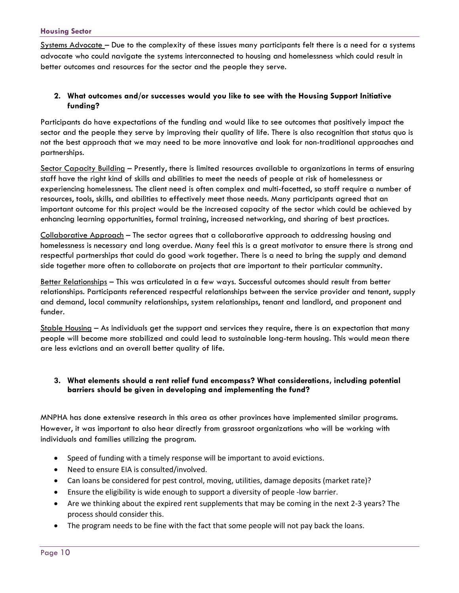Systems Advocate – Due to the complexity of these issues many participants felt there is a need for a systems advocate who could navigate the systems interconnected to housing and homelessness which could result in better outcomes and resources for the sector and the people they serve.

#### **2. What outcomes and/or successes would you like to see with the Housing Support Initiative funding?**

Participants do have expectations of the funding and would like to see outcomes that positively impact the sector and the people they serve by improving their quality of life. There is also recognition that status quo is not the best approach that we may need to be more innovative and look for non-traditional approaches and partnerships.

Sector Capacity Building - Presently, there is limited resources available to organizations in terms of ensuring staff have the right kind of skills and abilities to meet the needs of people at risk of homelessness or experiencing homelessness. The client need is often complex and multi-facetted, so staff require a number of resources, tools, skills, and abilities to effectively meet those needs. Many participants agreed that an important outcome for this project would be the increased capacity of the sector which could be achieved by enhancing learning opportunities, formal training, increased networking, and sharing of best practices.

Collaborative Approach – The sector agrees that a collaborative approach to addressing housing and homelessness is necessary and long overdue. Many feel this is a great motivator to ensure there is strong and respectful partnerships that could do good work together. There is a need to bring the supply and demand side together more often to collaborate on projects that are important to their particular community.

Better Relationships – This was articulated in a few ways. Successful outcomes should result from better relationships. Participants referenced respectful relationships between the service provider and tenant, supply and demand, local community relationships, system relationships, tenant and landlord, and proponent and funder.

Stable Housing – As individuals get the support and services they require, there is an expectation that many people will become more stabilized and could lead to sustainable long-term housing. This would mean there are less evictions and an overall better quality of life.

#### **3. What elements should a rent relief fund encompass? What considerations, including potential barriers should be given in developing and implementing the fund?**

MNPHA has done extensive research in this area as other provinces have implemented similar programs. However, it was important to also hear directly from grassroot organizations who will be working with individuals and families utilizing the program.

- Speed of funding with a timely response will be important to avoid evictions.
- Need to ensure EIA is consulted/involved.
- Can loans be considered for pest control, moving, utilities, damage deposits (market rate)?
- Ensure the eligibility is wide enough to support a diversity of people -low barrier.
- Are we thinking about the expired rent supplements that may be coming in the next 2-3 years? The process should consider this.
- The program needs to be fine with the fact that some people will not pay back the loans.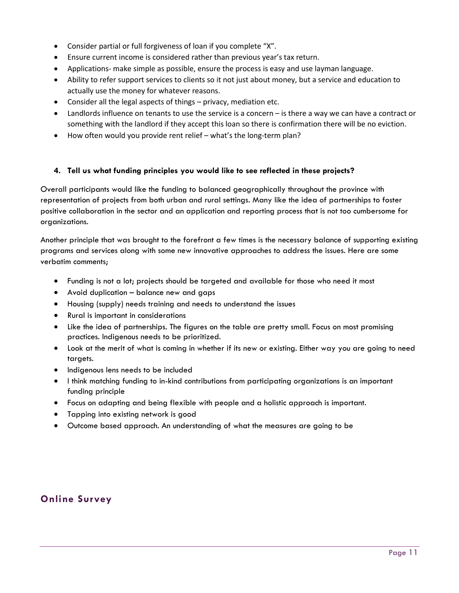- Consider partial or full forgiveness of loan if you complete "X".
- Ensure current income is considered rather than previous year's tax return.
- Applications- make simple as possible, ensure the process is easy and use layman language.
- Ability to refer support services to clients so it not just about money, but a service and education to actually use the money for whatever reasons.
- Consider all the legal aspects of things privacy, mediation etc.
- Landlords influence on tenants to use the service is a concern is there a way we can have a contract or something with the landlord if they accept this loan so there is confirmation there will be no eviction.
- How often would you provide rent relief what's the long-term plan?

#### **4. Tell us what funding principles you would like to see reflected in these projects?**

Overall participants would like the funding to balanced geographically throughout the province with representation of projects from both urban and rural settings. Many like the idea of partnerships to foster positive collaboration in the sector and an application and reporting process that is not too cumbersome for organizations.

Another principle that was brought to the forefront a few times is the necessary balance of supporting existing programs and services along with some new innovative approaches to address the issues. Here are some verbatim comments;

- Funding is not a lot; projects should be targeted and available for those who need it most
- Avoid duplication balance new and gaps
- Housing (supply) needs training and needs to understand the issues
- Rural is important in considerations
- Like the idea of partnerships. The figures on the table are pretty small. Focus on most promising practices. Indigenous needs to be prioritized.
- Look at the merit of what is coming in whether if its new or existing. Either way you are going to need targets.
- Indigenous lens needs to be included
- I think matching funding to in-kind contributions from participating organizations is an important funding principle
- Focus on adapting and being flexible with people and a holistic approach is important.
- Tapping into existing network is good
- Outcome based approach. An understanding of what the measures are going to be

## <span id="page-11-0"></span>**Online Survey**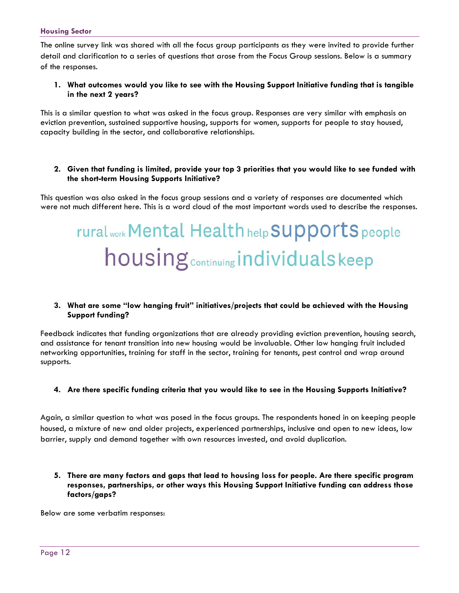The online survey link was shared with all the focus group participants as they were invited to provide further detail and clarification to a series of questions that arose from the Focus Group sessions. Below is a summary of the responses.

#### **1. What outcomes would you like to see with the Housing Support Initiative funding that is tangible in the next 2 years?**

This is a similar question to what was asked in the focus group. Responses are very similar with emphasis on eviction prevention, sustained supportive housing, supports for women, supports for people to stay housed, capacity building in the sector, and collaborative relationships.

#### **2. Given that funding is limited, provide your top 3 priorities that you would like to see funded with the short-term Housing Supports Initiative?**

This question was also asked in the focus group sessions and a variety of responses are documented which were not much different here. This is a word cloud of the most important words used to describe the responses.

# rural work Mental Health help SUpports people housing **continuing** individuals keep

#### **3. What are some "low hanging fruit" initiatives/projects that could be achieved with the Housing Support funding?**

Feedback indicates that funding organizations that are already providing eviction prevention, housing search, and assistance for tenant transition into new housing would be invaluable. Other low hanging fruit included networking opportunities, training for staff in the sector, training for tenants, pest control and wrap around supports.

#### **4. Are there specific funding criteria that you would like to see in the Housing Supports Initiative?**

Again, a similar question to what was posed in the focus groups. The respondents honed in on keeping people housed, a mixture of new and older projects, experienced partnerships, inclusive and open to new ideas, low barrier, supply and demand together with own resources invested, and avoid duplication.

#### **5. There are many factors and gaps that lead to housing loss for people. Are there specific program responses, partnerships, or other ways this Housing Support Initiative funding can address those factors/gaps?**

Below are some verbatim responses: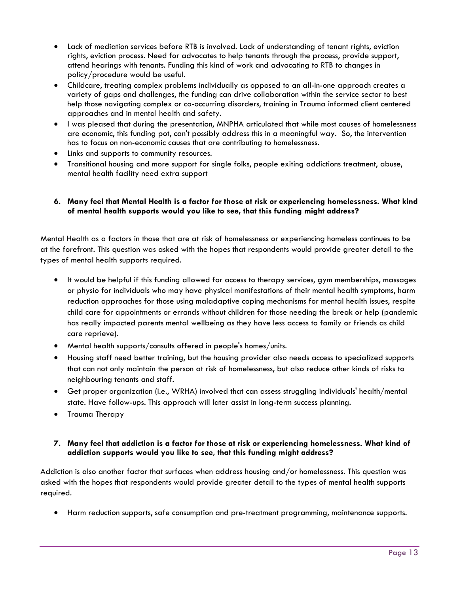- Lack of mediation services before RTB is involved. Lack of understanding of tenant rights, eviction rights, eviction process. Need for advocates to help tenants through the process, provide support, attend hearings with tenants. Funding this kind of work and advocating to RTB to changes in policy/procedure would be useful.
- Childcare, treating complex problems individually as opposed to an all-in-one approach creates a variety of gaps and challenges, the funding can drive collaboration within the service sector to best help those navigating complex or co-occurring disorders, training in Trauma informed client centered approaches and in mental health and safety.
- I was pleased that during the presentation, MNPHA articulated that while most causes of homelessness are economic, this funding pot, can't possibly address this in a meaningful way. So, the intervention has to focus on non-economic causes that are contributing to homelessness.
- Links and supports to community resources.
- Transitional housing and more support for single folks, people exiting addictions treatment, abuse, mental health facility need extra support

#### **6. Many feel that Mental Health is a factor for those at risk or experiencing homelessness. What kind of mental health supports would you like to see, that this funding might address?**

Mental Health as a factors in those that are at risk of homelessness or experiencing homeless continues to be at the forefront. This question was asked with the hopes that respondents would provide greater detail to the types of mental health supports required.

- It would be helpful if this funding allowed for access to therapy services, gym memberships, massages or physio for individuals who may have physical manifestations of their mental health symptoms, harm reduction approaches for those using maladaptive coping mechanisms for mental health issues, respite child care for appointments or errands without children for those needing the break or help (pandemic has really impacted parents mental wellbeing as they have less access to family or friends as child care reprieve).
- Mental health supports/consults offered in people's homes/units.
- Housing staff need better training, but the housing provider also needs access to specialized supports that can not only maintain the person at risk of homelessness, but also reduce other kinds of risks to neighbouring tenants and staff.
- Get proper organization (i.e., WRHA) involved that can assess struggling individuals' health/mental state. Have follow-ups. This approach will later assist in long-term success planning.
- Trauma Therapy

#### **7. Many feel that addiction is a factor for those at risk or experiencing homelessness. What kind of addiction supports would you like to see, that this funding might address?**

Addiction is also another factor that surfaces when address housing and/or homelessness. This question was asked with the hopes that respondents would provide greater detail to the types of mental health supports required.

• Harm reduction supports, safe consumption and pre-treatment programming, maintenance supports.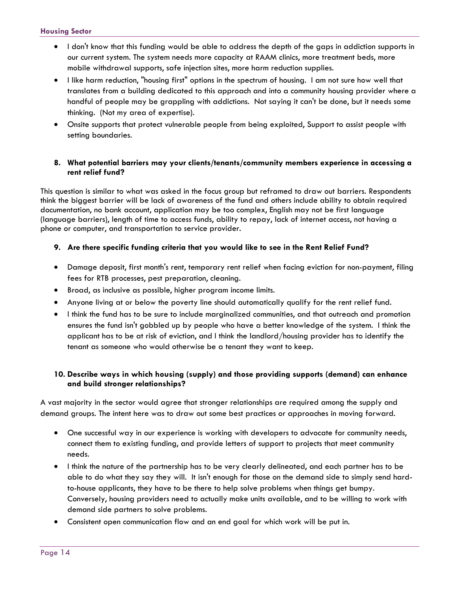- I don't know that this funding would be able to address the depth of the gaps in addiction supports in our current system. The system needs more capacity at RAAM clinics, more treatment beds, more mobile withdrawal supports, safe injection sites, more harm reduction supplies.
- I like harm reduction, "housing first" options in the spectrum of housing. I am not sure how well that translates from a building dedicated to this approach and into a community housing provider where a handful of people may be grappling with addictions. Not saying it can't be done, but it needs some thinking. (Not my area of expertise).
- Onsite supports that protect vulnerable people from being exploited, Support to assist people with setting boundaries.

#### **8. What potential barriers may your clients/tenants/community members experience in accessing a rent relief fund?**

This question is similar to what was asked in the focus group but reframed to draw out barriers. Respondents think the biggest barrier will be lack of awareness of the fund and others include ability to obtain required documentation, no bank account, application may be too complex, English may not be first language (language barriers), length of time to access funds, ability to repay, lack of internet access, not having a phone or computer, and transportation to service provider.

#### **9. Are there specific funding criteria that you would like to see in the Rent Relief Fund?**

- Damage deposit, first month's rent, temporary rent relief when facing eviction for non-payment, filing fees for RTB processes, pest preparation, cleaning.
- Broad, as inclusive as possible, higher program income limits.
- Anyone living at or below the poverty line should automatically qualify for the rent relief fund.
- I think the fund has to be sure to include marginalized communities, and that outreach and promotion ensures the fund isn't gobbled up by people who have a better knowledge of the system. I think the applicant has to be at risk of eviction, and I think the landlord/housing provider has to identify the tenant as someone who would otherwise be a tenant they want to keep.

#### **10. Describe ways in which housing (supply) and those providing supports (demand) can enhance and build stronger relationships?**

A vast majority in the sector would agree that stronger relationships are required among the supply and demand groups. The intent here was to draw out some best practices or approaches in moving forward.

- One successful way in our experience is working with developers to advocate for community needs, connect them to existing funding, and provide letters of support to projects that meet community needs.
- I think the nature of the partnership has to be very clearly delineated, and each partner has to be able to do what they say they will. It isn't enough for those on the demand side to simply send hardto-house applicants, they have to be there to help solve problems when things get bumpy. Conversely, housing providers need to actually make units available, and to be willing to work with demand side partners to solve problems.
- Consistent open communication flow and an end goal for which work will be put in.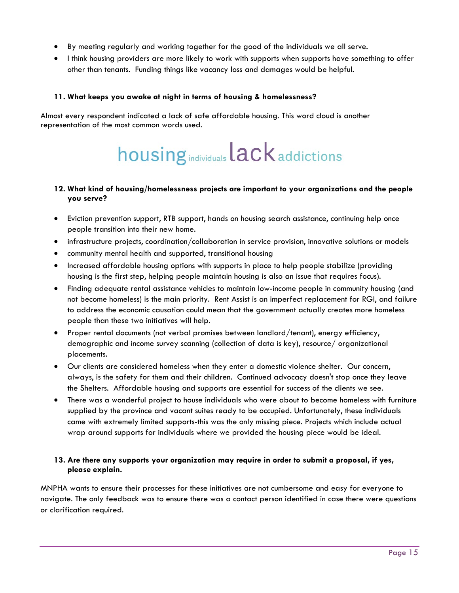- By meeting regularly and working together for the good of the individuals we all serve.
- I think housing providers are more likely to work with supports when supports have something to offer other than tenants. Funding things like vacancy loss and damages would be helpful.

#### **11. What keeps you awake at night in terms of housing & homelessness?**

Almost every respondent indicated a lack of safe affordable housing. This word cloud is another representation of the most common words used.

# housing individuals lack addictions

#### **12. What kind of housing/homelessness projects are important to your organizations and the people you serve?**

- Eviction prevention support, RTB support, hands on housing search assistance, continuing help once people transition into their new home.
- infrastructure projects, coordination/collaboration in service provision, innovative solutions or models
- community mental health and supported, transitional housing
- Increased affordable housing options with supports in place to help people stabilize (providing housing is the first step, helping people maintain housing is also an issue that requires focus).
- Finding adequate rental assistance vehicles to maintain low-income people in community housing (and not become homeless) is the main priority. Rent Assist is an imperfect replacement for RGI, and failure to address the economic causation could mean that the government actually creates more homeless people than these two initiatives will help.
- Proper rental documents (not verbal promises between landlord/tenant), energy efficiency, demographic and income survey scanning (collection of data is key), resource/ organizational placements.
- Our clients are considered homeless when they enter a domestic violence shelter. Our concern, always, is the safety for them and their children. Continued advocacy doesn't stop once they leave the Shelters. Affordable housing and supports are essential for success of the clients we see.
- There was a wonderful project to house individuals who were about to become homeless with furniture supplied by the province and vacant suites ready to be occupied. Unfortunately, these individuals came with extremely limited supports-this was the only missing piece. Projects which include actual wrap around supports for individuals where we provided the housing piece would be ideal.

#### **13. Are there any supports your organization may require in order to submit a proposal, if yes, please explain.**

MNPHA wants to ensure their processes for these initiatives are not cumbersome and easy for everyone to navigate. The only feedback was to ensure there was a contact person identified in case there were questions or clarification required.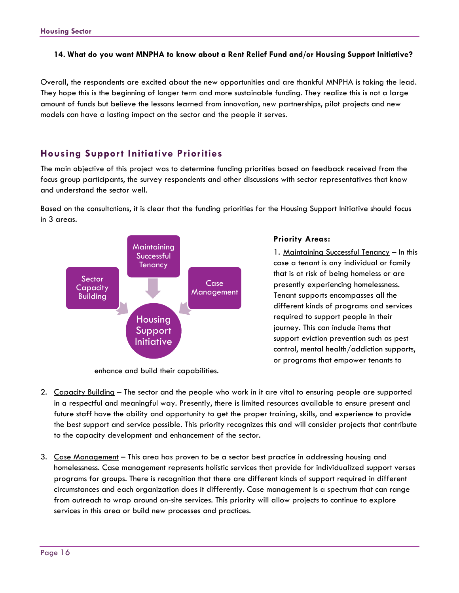#### **14. What do you want MNPHA to know about a Rent Relief Fund and/or Housing Support Initiative?**

Overall, the respondents are excited about the new opportunities and are thankful MNPHA is taking the lead. They hope this is the beginning of longer term and more sustainable funding. They realize this is not a large amount of funds but believe the lessons learned from innovation, new partnerships, pilot projects and new models can have a lasting impact on the sector and the people it serves.

### <span id="page-16-0"></span>**Housing Support Initiative Priorities**

The main objective of this project was to determine funding priorities based on feedback received from the focus group participants, the survey respondents and other discussions with sector representatives that know and understand the sector well.

Based on the consultations, it is clear that the funding priorities for the Housing Support Initiative should focus in 3 areas.



enhance and build their capabilities.

#### <span id="page-16-1"></span>**Priority Areas:**

1. Maintaining Successful Tenancy – In this case a tenant is any individual or family that is at risk of being homeless or are presently experiencing homelessness. Tenant supports encompasses all the different kinds of programs and services required to support people in their journey. This can include items that support eviction prevention such as pest control, mental health/addiction supports, or programs that empower tenants to

- 2. Capacity Building The sector and the people who work in it are vital to ensuring people are supported in a respectful and meaningful way. Presently, there is limited resources available to ensure present and future staff have the ability and opportunity to get the proper training, skills, and experience to provide the best support and service possible. This priority recognizes this and will consider projects that contribute to the capacity development and enhancement of the sector.
- 3. Case Management This area has proven to be a sector best practice in addressing housing and homelessness. Case management represents holistic services that provide for individualized support verses programs for groups. There is recognition that there are different kinds of support required in different circumstances and each organization does it differently. Case management is a spectrum that can range from outreach to wrap around on-site services. This priority will allow projects to continue to explore services in this area or build new processes and practices.